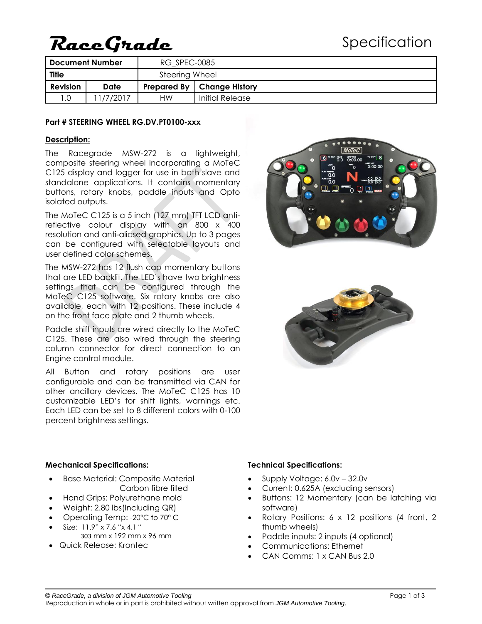# **RaceGrade**

| Document Number |       | RG SPEC-0085   |                                     |
|-----------------|-------|----------------|-------------------------------------|
| <b>Title</b>    |       | Steering Wheel |                                     |
| <b>Revision</b> | Date  |                | <b>Prepared By   Change History</b> |
| .0              | /2017 | НW             | Initial Release                     |

#### **Part # STEERING WHEEL RG.DV.PT0100-xxx**

#### **Description:**

The Racegrade MSW-272 is a lightweight, composite steering wheel incorporating a MoTeC C125 display and logger for use in both slave and standalone applications. It contains momentary buttons, rotary knobs, paddle inputs and Opto isolated outputs.

The MoTeC C125 is a 5 inch (127 mm) TFT LCD antireflective colour display with an 800 x 400 resolution and anti-aliased graphics. Up to 3 pages can be configured with selectable layouts and user defined color schemes.

The MSW-272 has 12 flush cap momentary buttons that are LED backlit. The LED's have two brightness settings that can be configured through the MoTeC C125 software. Six rotary knobs are also available, each with 12 positions. These include 4 on the front face plate and 2 thumb wheels.

Paddle shift inputs are wired directly to the MoTeC C125. These are also wired through the steering column connector for direct connection to an Engine control module.

All Button and rotary positions are user configurable and can be transmitted via CAN for other ancillary devices. The MoTeC C125 has 10 customizable LED's for shift lights, warnings etc. Each LED can be set to 8 different colors with 0-100 percent brightness settings.





#### **Mechanical Specifications:**

- Base Material: Composite Material Carbon fibre filled
- Hand Grips: Polyurethane mold
- Weight: 2.80 lbs(Including QR)
- Operating Temp: -20°C to 70° C
- $Size: 11.9" x 7.6" x 4.1"$ 303 mm x 192 mm x 96 mm
- Quick Release: Krontec

#### **Technical Specifications:**

- Supply Voltage: 6.0v 32.0v
- Current: 0.625A (excluding sensors)
- Buttons: 12 Momentary (can be latching via software)
- Rotary Positions: 6 x 12 positions (4 front, 2 thumb wheels)
- Paddle inputs: 2 inputs (4 optional)
- Communications: Ethernet
- CAN Comms: 1 x CAN Bus 2.0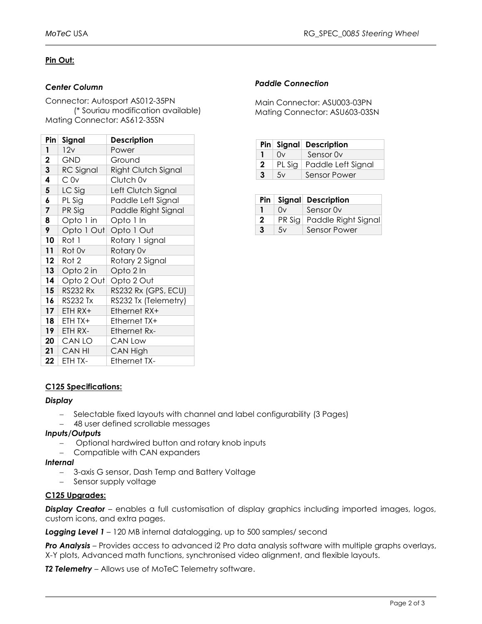## **Pin Out:**

## *Center Column*

Connector: Autosport AS012-35PN (\* Souriau modification available) Mating Connector: AS612-35SN

| Pinl            | Signal           | <b>Description</b>   |
|-----------------|------------------|----------------------|
| 1               | 12v              | Power                |
| $\mathbf{2}$    | <b>GND</b>       | Ground               |
| 3               | <b>RC</b> Signal | Right Clutch Signal  |
| 4               | Cov              | Clutch 0v            |
| 5               | LC Sig           | Left Clutch Signal   |
| 6               | PL Sig           | Paddle Left Signal   |
| 7               | PR Sig           | Paddle Right Signal  |
| 8               | Opto 1 in        | Opto 1 In            |
| 9               | Opto 1 Out       | Opto 1 Out           |
| 10 <sub>1</sub> | Rot 1            | Rotary 1 signal      |
| 11              | Rot Ov           | Rotary 0v            |
| 12 <sup>1</sup> | Rot 2            | Rotary 2 Signal      |
| 13              | Opto 2 in        | Opto 2 In            |
| 14              | Opto 2 Out       | Opto 2 Out           |
| 15 <sup>1</sup> | <b>RS232 Rx</b>  | RS232 Rx (GPS, ECU)  |
| 16 <sup>1</sup> | <b>RS232 Tx</b>  | RS232 Tx (Telemetry) |
| 17 <sup>1</sup> | ETH RX+          | Ethernet RX+         |
| 18              | ETH TX+          | Ethernet TX+         |
| 19              | ETH RX-          | Ethernet Rx-         |
|                 | $20$ CAN LO      | CAN Low              |
|                 | $21$ CAN HI      | CAN High             |
| 22              | ETH TX-          | <b>Ethernet TX-</b>  |

## *Paddle Connection*

Main Connector: ASU003-03PN Mating Connector: ASU603-03SN

|             |          | Pin Signal Description |
|-------------|----------|------------------------|
|             | Ωv       | Sensor Ov              |
| $\mathbf 2$ | $PL$ Sig | Paddle Left Signal     |
| 3           | 5v       | Sensor Power           |

|              |    | Pin   Signal Description     |
|--------------|----|------------------------------|
|              | 0v | Sensor Ov                    |
| $\mathbf{2}$ |    | PR Sig   Paddle Right Signal |
| 3            | 5v | Sensor Power                 |

#### **C125 Specifications:**

#### *Display*

- Selectable fixed layouts with channel and label configurability (3 Pages)
- 48 user defined scrollable messages

#### *Inputs/Outputs*

- Optional hardwired button and rotary knob inputs
- Compatible with CAN expanders

*Internal*

- 3-axis G sensor, Dash Temp and Battery Voltage
- Sensor supply voltage

#### **C125 Upgrades:**

**Display Creator** – enables a full customisation of display graphics including imported images, logos, custom icons, and extra pages.

*Logging Level 1* – 120 MB internal datalogging, up to 500 samples/ second

*Pro Analysis* – Provides access to advanced i2 Pro data analysis software with multiple graphs overlays, X-Y plots, Advanced math functions, synchronised video alignment, and flexible layouts.

*T2 Telemetry* – Allows use of MoTeC Telemetry software.